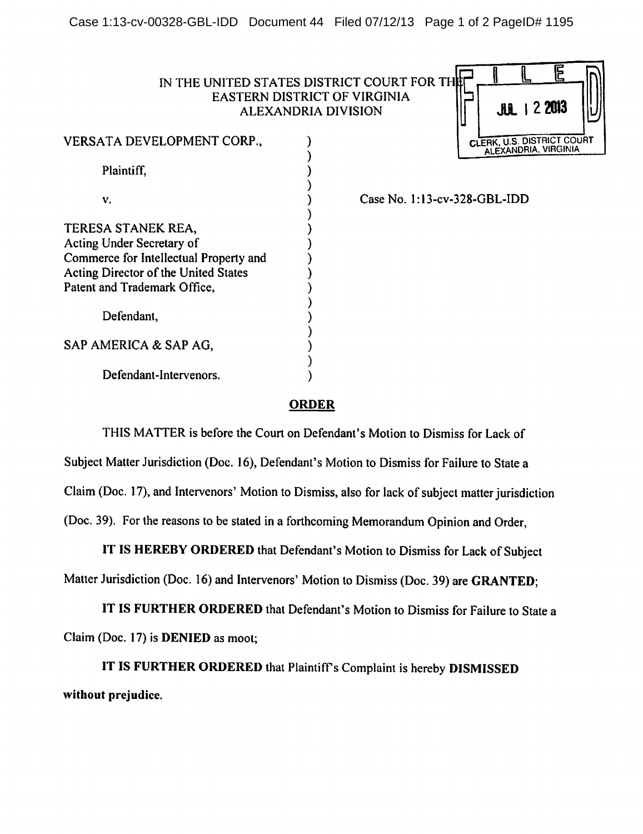|                                                                                                                                                                          | IN THE UNITED STATES DISTRICT COURT FOR THE<br>EASTERN DISTRICT OF VIRGINIA<br>$JUL$   2 2013<br><b>ALEXANDRIA DIVISION</b> |
|--------------------------------------------------------------------------------------------------------------------------------------------------------------------------|-----------------------------------------------------------------------------------------------------------------------------|
| VERSATA DEVELOPMENT CORP.,                                                                                                                                               | CLERK, U.S. DISTRICT COURT<br>ALEXANDRIA, VIRGINIA                                                                          |
| Plaintiff,                                                                                                                                                               |                                                                                                                             |
| V.                                                                                                                                                                       | Case No. 1:13-cv-328-GBL-IDD                                                                                                |
| TERESA STANEK REA,<br>Acting Under Secretary of<br>Commerce for Intellectual Property and<br><b>Acting Director of the United States</b><br>Patent and Trademark Office, |                                                                                                                             |
| Defendant,                                                                                                                                                               |                                                                                                                             |
| SAP AMERICA & SAP AG,                                                                                                                                                    |                                                                                                                             |
| Defendant-Intervenors.                                                                                                                                                   |                                                                                                                             |

## *ORDER*

THIS MATTER is before the Court on Defendant's Motion to Dismiss for Lack of Subject Matter Jurisdiction (Doc. 16), Defendant's Motion to Dismiss for Failure to State a Claim (Doc. 17), and Intervenors' Motion to Dismiss, also for lack of subject matter jurisdiction (Doc. 39). For the reasons to be stated in a forthcoming Memorandum Opinion and Order,

IT IS HEREBY ORDERED that Defendant's Motion to Dismiss for Lack of Subject Matter Jurisdiction (Doc. 16) and Intervenors' Motion to Dismiss (Doc. 39) are **GRANTED**;

*IT IS FURTHER ORDERED* that Defendant's Motion to Dismiss for Failure to State a Claim (Doc. 17) is *DENIED* as moot;

*IT IS FURTHER ORDERED* that Plaintiffs Complaint is hereby *DISMISSED without prejudice.*